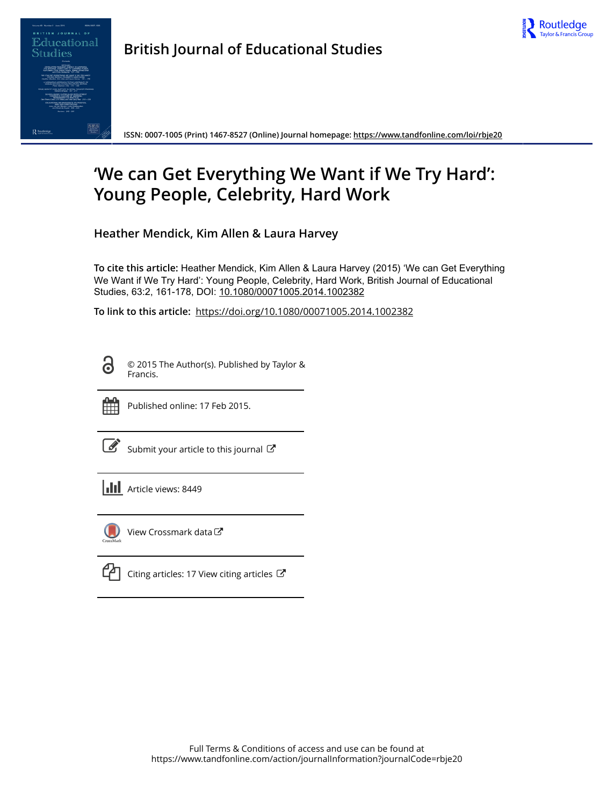



**British Journal of Educational Studies**

**ISSN: 0007-1005 (Print) 1467-8527 (Online) Journal homepage:<https://www.tandfonline.com/loi/rbje20>**

# **'We can Get Everything We Want if We Try Hard': Young People, Celebrity, Hard Work**

**Heather Mendick, Kim Allen & Laura Harvey**

**To cite this article:** Heather Mendick, Kim Allen & Laura Harvey (2015) 'We can Get Everything We Want if We Try Hard': Young People, Celebrity, Hard Work, British Journal of Educational Studies, 63:2, 161-178, DOI: [10.1080/00071005.2014.1002382](https://www.tandfonline.com/action/showCitFormats?doi=10.1080/00071005.2014.1002382)

**To link to this article:** <https://doi.org/10.1080/00071005.2014.1002382>

<u>ය</u>

© 2015 The Author(s). Published by Taylor & Francis.



Published online: 17 Feb 2015.

[Submit your article to this journal](https://www.tandfonline.com/action/authorSubmission?journalCode=rbje20&show=instructions)  $\mathbb{Z}$ 

**III** Article views: 8449



[View Crossmark data](http://crossmark.crossref.org/dialog/?doi=10.1080/00071005.2014.1002382&domain=pdf&date_stamp=2015-02-17)

 $\mathbb{C}$  [Citing articles: 17 View citing articles](https://www.tandfonline.com/doi/citedby/10.1080/00071005.2014.1002382#tabModule)  $\mathbb{C}$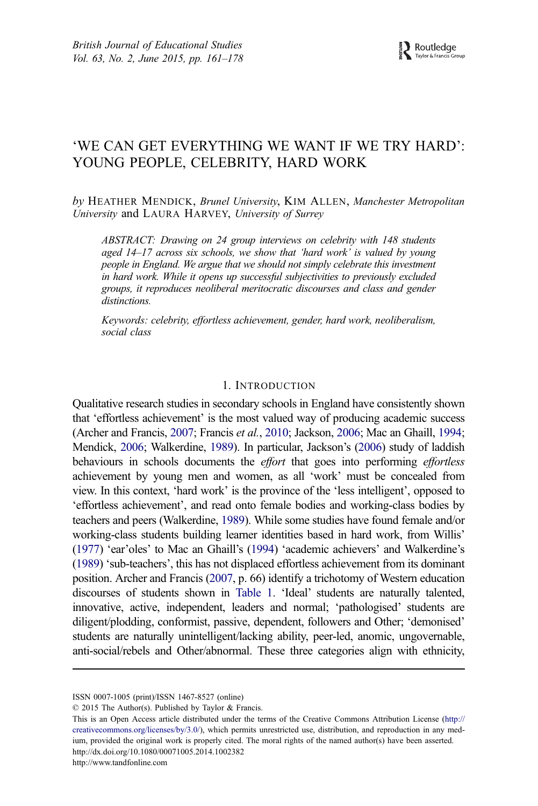# 'WE CAN GET EVERYTHING WE WANT IF WE TRY HARD': YOUNG PEOPLE, CELEBRITY, HARD WORK

by HEATHER MENDICK, Brunel University, KIM ALLEN, Manchester Metropolitan University and LAURA HARVEY, University of Surrey

ABSTRACT: Drawing on 24 group interviews on celebrity with 148 students aged 14–17 across six schools, we show that 'hard work' is valued by young people in England. We argue that we should not simply celebrate this investment in hard work. While it opens up successful subjectivities to previously excluded groups, it reproduces neoliberal meritocratic discourses and class and gender distinctions.

Keywords: celebrity, effortless achievement, gender, hard work, neoliberalism, social class

#### 1. INTRODUCTION

Qualitative research studies in secondary schools in England have consistently shown that 'effortless achievement' is the most valued way of producing academic success (Archer and Francis, [2007](#page-16-0); Francis et al., [2010](#page-16-0); Jackson, [2006](#page-17-0); Mac an Ghaill, [1994;](#page-17-0) Mendick, [2006](#page-17-0); Walkerdine, [1989\)](#page-17-0). In particular, Jackson's [\(2006\)](#page-17-0) study of laddish behaviours in schools documents the *effort* that goes into performing *effortless* achievement by young men and women, as all 'work' must be concealed from view. In this context, 'hard work' is the province of the 'less intelligent', opposed to 'effortless achievement', and read onto female bodies and working-class bodies by teachers and peers (Walkerdine, [1989](#page-17-0)). While some studies have found female and/or working-class students building learner identities based in hard work, from Willis' ([1977\)](#page-17-0) 'ear'oles' to Mac an Ghaill's [\(1994\)](#page-17-0) 'academic achievers' and Walkerdine's ([1989\)](#page-17-0) 'sub-teachers', this has not displaced effortless achievement from its dominant position. Archer and Francis [\(2007,](#page-16-0) p. 66) identify a trichotomy of Western education discourses of students shown in [Table 1](#page-2-0). 'Ideal' students are naturally talented, innovative, active, independent, leaders and normal; 'pathologised' students are diligent/plodding, conformist, passive, dependent, followers and Other; 'demonised' students are naturally unintelligent/lacking ability, peer-led, anomic, ungovernable, anti-social/rebels and Other/abnormal. These three categories align with ethnicity,

© 2015 The Author(s). Published by Taylor & Francis.

ISSN 0007-1005 (print)/ISSN 1467-8527 (online)

This is an Open Access article distributed under the terms of the Creative Commons Attribution License (http:// creativecommons.org/licenses/by/3.0/), which permits unrestricted use, distribution, and reproduction in any medium, provided the original work is properly cited. The moral rights of the named author(s) have been asserted. http://dx.doi.org/10.1080/00071005.2014.1002382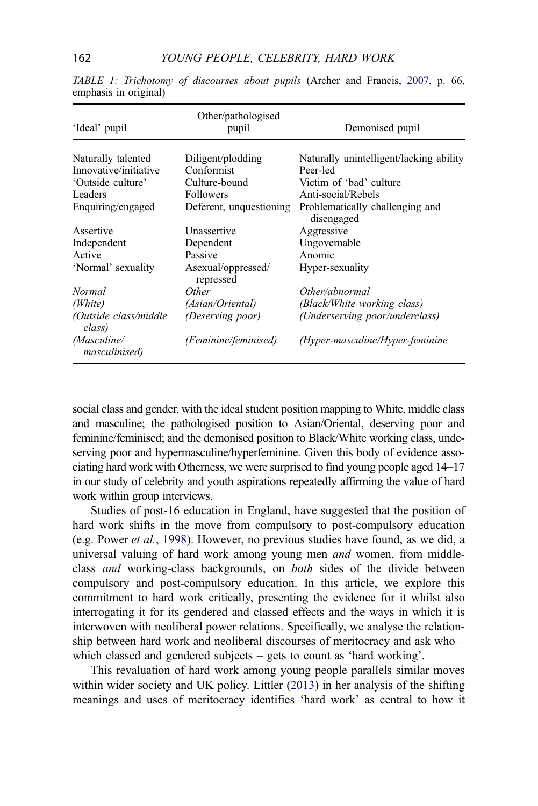| 'Ideal' pupil                   | Other/pathologised<br>pupil     | Demonised pupil                               |
|---------------------------------|---------------------------------|-----------------------------------------------|
|                                 |                                 |                                               |
| Naturally talented              | Diligent/plodding               | Naturally unintelligent/lacking ability       |
| Innovative/initiative           | Conformist                      | Peer-led                                      |
| 'Outside culture'               | Culture-bound                   | Victim of 'bad' culture                       |
| Leaders                         | <b>Followers</b>                | Anti-social/Rebels                            |
| Enquiring/engaged               | Deferent, unquestioning         | Problematically challenging and<br>disengaged |
| Assertive                       | Unassertive                     | Aggressive                                    |
| Independent                     | Dependent                       | Ungovernable                                  |
| Active                          | Passive                         | Anomic                                        |
| 'Normal' sexuality              | Asexual/oppressed/<br>repressed | Hyper-sexuality                               |
| <b>Normal</b>                   | Other                           | Other/abnormal                                |
| (White)                         | (Asian/Oriental)                | (Black/White working class)                   |
| (Outside class/middle<br>class) | <i>(Deserving poor)</i>         | (Underserving poor/underclass)                |
| (Masculine/<br>masculinised)    | (Feminine/feminised)            | (Hyper-masculine/Hyper-feminine               |

<span id="page-2-0"></span>TABLE 1: Trichotomy of discourses about pupils (Archer and Francis, [2007,](#page-16-0) p. 66, emphasis in original)

social class and gender, with the ideal student position mapping to White, middle class and masculine; the pathologised position to Asian/Oriental, deserving poor and feminine/feminised; and the demonised position to Black/White working class, undeserving poor and hypermasculine/hyperfeminine. Given this body of evidence associating hard work with Otherness, we were surprised to find young people aged 14–17 in our study of celebrity and youth aspirations repeatedly affirming the value of hard work within group interviews.

Studies of post-16 education in England, have suggested that the position of hard work shifts in the move from compulsory to post-compulsory education (e.g. Power et al., [1998\)](#page-17-0). However, no previous studies have found, as we did, a universal valuing of hard work among young men and women, from middleclass and working-class backgrounds, on both sides of the divide between compulsory and post-compulsory education. In this article, we explore this commitment to hard work critically, presenting the evidence for it whilst also interrogating it for its gendered and classed effects and the ways in which it is interwoven with neoliberal power relations. Specifically, we analyse the relationship between hard work and neoliberal discourses of meritocracy and ask who – which classed and gendered subjects – gets to count as 'hard working'.

This revaluation of hard work among young people parallels similar moves within wider society and UK policy. Littler [\(2013](#page-17-0)) in her analysis of the shifting meanings and uses of meritocracy identifies 'hard work' as central to how it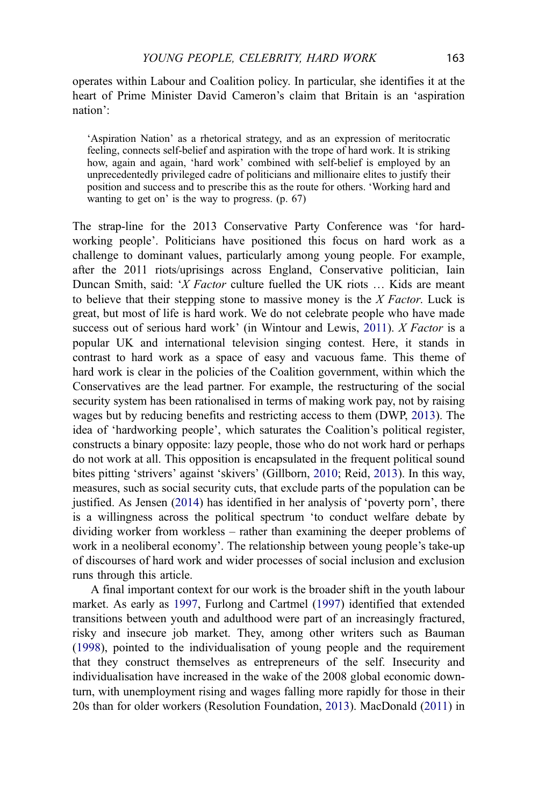operates within Labour and Coalition policy. In particular, she identifies it at the heart of Prime Minister David Cameron's claim that Britain is an 'aspiration nation':

'Aspiration Nation' as a rhetorical strategy, and as an expression of meritocratic feeling, connects self-belief and aspiration with the trope of hard work. It is striking how, again and again, 'hard work' combined with self-belief is employed by an unprecedentedly privileged cadre of politicians and millionaire elites to justify their position and success and to prescribe this as the route for others. 'Working hard and wanting to get on' is the way to progress. (p. 67)

The strap-line for the 2013 Conservative Party Conference was 'for hardworking people'. Politicians have positioned this focus on hard work as a challenge to dominant values, particularly among young people. For example, after the 2011 riots/uprisings across England, Conservative politician, Iain Duncan Smith, said: 'X Factor culture fuelled the UK riots ... Kids are meant to believe that their stepping stone to massive money is the  $X$  Factor. Luck is great, but most of life is hard work. We do not celebrate people who have made success out of serious hard work' (in Wintour and Lewis, [2011\)](#page-17-0). *X Factor* is a popular UK and international television singing contest. Here, it stands in contrast to hard work as a space of easy and vacuous fame. This theme of hard work is clear in the policies of the Coalition government, within which the Conservatives are the lead partner. For example, the restructuring of the social security system has been rationalised in terms of making work pay, not by raising wages but by reducing benefits and restricting access to them (DWP, [2013](#page-16-0)). The idea of 'hardworking people', which saturates the Coalition's political register, constructs a binary opposite: lazy people, those who do not work hard or perhaps do not work at all. This opposition is encapsulated in the frequent political sound bites pitting 'strivers' against 'skivers' (Gillborn, [2010;](#page-16-0) Reid, [2013](#page-17-0)). In this way, measures, such as social security cuts, that exclude parts of the population can be justified. As Jensen [\(2014](#page-17-0)) has identified in her analysis of 'poverty porn', there is a willingness across the political spectrum 'to conduct welfare debate by dividing worker from workless – rather than examining the deeper problems of work in a neoliberal economy'. The relationship between young people's take-up of discourses of hard work and wider processes of social inclusion and exclusion runs through this article.

A final important context for our work is the broader shift in the youth labour market. As early as [1997,](#page-16-0) Furlong and Cartmel [\(1997](#page-16-0)) identified that extended transitions between youth and adulthood were part of an increasingly fractured, risky and insecure job market. They, among other writers such as Bauman ([1998\)](#page-16-0), pointed to the individualisation of young people and the requirement that they construct themselves as entrepreneurs of the self. Insecurity and individualisation have increased in the wake of the 2008 global economic downturn, with unemployment rising and wages falling more rapidly for those in their 20s than for older workers (Resolution Foundation, [2013\)](#page-17-0). MacDonald [\(2011\)](#page-17-0) in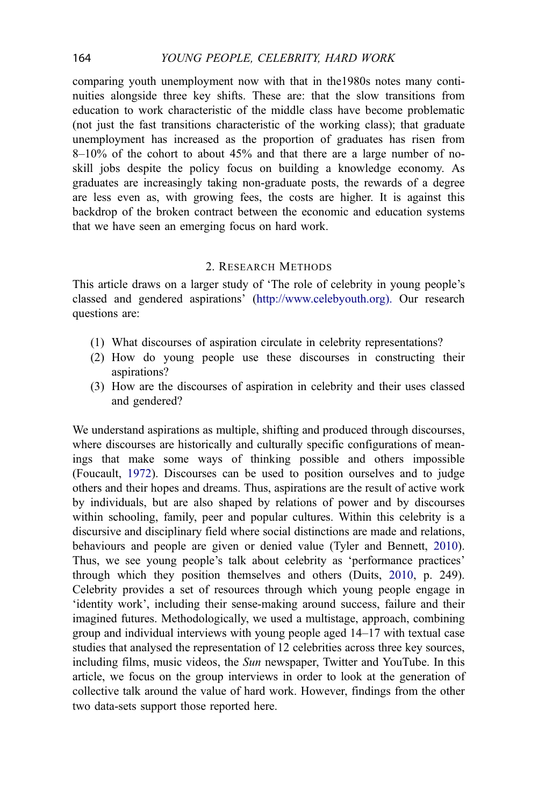## 164 YOUNG PEOPLE, CELEBRITY, HARD WORK

comparing youth unemployment now with that in the1980s notes many continuities alongside three key shifts. These are: that the slow transitions from education to work characteristic of the middle class have become problematic (not just the fast transitions characteristic of the working class); that graduate unemployment has increased as the proportion of graduates has risen from 8–10% of the cohort to about 45% and that there are a large number of noskill jobs despite the policy focus on building a knowledge economy. As graduates are increasingly taking non-graduate posts, the rewards of a degree are less even as, with growing fees, the costs are higher. It is against this backdrop of the broken contract between the economic and education systems that we have seen an emerging focus on hard work.

## 2. RESEARCH METHODS

This article draws on a larger study of 'The role of celebrity in young people's classed and gendered aspirations' [\(http://www.celebyouth.org\).](http://www.celebyouth.org).) Our research questions are:

- (1) What discourses of aspiration circulate in celebrity representations?
- (2) How do young people use these discourses in constructing their aspirations?
- (3) How are the discourses of aspiration in celebrity and their uses classed and gendered?

We understand aspirations as multiple, shifting and produced through discourses, where discourses are historically and culturally specific configurations of meanings that make some ways of thinking possible and others impossible (Foucault, [1972\)](#page-16-0). Discourses can be used to position ourselves and to judge others and their hopes and dreams. Thus, aspirations are the result of active work by individuals, but are also shaped by relations of power and by discourses within schooling, family, peer and popular cultures. Within this celebrity is a discursive and disciplinary field where social distinctions are made and relations, behaviours and people are given or denied value (Tyler and Bennett, [2010\)](#page-17-0). Thus, we see young people's talk about celebrity as 'performance practices' through which they position themselves and others (Duits, [2010](#page-16-0), p. 249). Celebrity provides a set of resources through which young people engage in 'identity work', including their sense-making around success, failure and their imagined futures. Methodologically, we used a multistage, approach, combining group and individual interviews with young people aged 14–17 with textual case studies that analysed the representation of 12 celebrities across three key sources, including films, music videos, the Sun newspaper, Twitter and YouTube. In this article, we focus on the group interviews in order to look at the generation of collective talk around the value of hard work. However, findings from the other two data-sets support those reported here.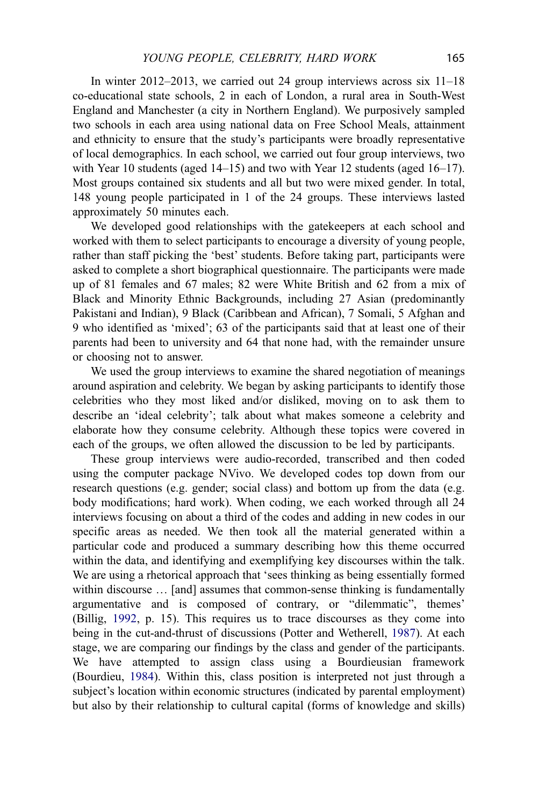In winter 2012–2013, we carried out 24 group interviews across six 11–18 co-educational state schools, 2 in each of London, a rural area in South-West England and Manchester (a city in Northern England). We purposively sampled two schools in each area using national data on Free School Meals, attainment and ethnicity to ensure that the study's participants were broadly representative of local demographics. In each school, we carried out four group interviews, two with Year 10 students (aged 14–15) and two with Year 12 students (aged 16–17). Most groups contained six students and all but two were mixed gender. In total, 148 young people participated in 1 of the 24 groups. These interviews lasted approximately 50 minutes each.

We developed good relationships with the gatekeepers at each school and worked with them to select participants to encourage a diversity of young people, rather than staff picking the 'best' students. Before taking part, participants were asked to complete a short biographical questionnaire. The participants were made up of 81 females and 67 males; 82 were White British and 62 from a mix of Black and Minority Ethnic Backgrounds, including 27 Asian (predominantly Pakistani and Indian), 9 Black (Caribbean and African), 7 Somali, 5 Afghan and 9 who identified as 'mixed'; 63 of the participants said that at least one of their parents had been to university and 64 that none had, with the remainder unsure or choosing not to answer.

We used the group interviews to examine the shared negotiation of meanings around aspiration and celebrity. We began by asking participants to identify those celebrities who they most liked and/or disliked, moving on to ask them to describe an 'ideal celebrity'; talk about what makes someone a celebrity and elaborate how they consume celebrity. Although these topics were covered in each of the groups, we often allowed the discussion to be led by participants.

These group interviews were audio-recorded, transcribed and then coded using the computer package NVivo. We developed codes top down from our research questions (e.g. gender; social class) and bottom up from the data (e.g. body modifications; hard work). When coding, we each worked through all 24 interviews focusing on about a third of the codes and adding in new codes in our specific areas as needed. We then took all the material generated within a particular code and produced a summary describing how this theme occurred within the data, and identifying and exemplifying key discourses within the talk. We are using a rhetorical approach that 'sees thinking as being essentially formed within discourse ... [and] assumes that common-sense thinking is fundamentally argumentative and is composed of contrary, or "dilemmatic", themes' (Billig, [1992,](#page-16-0) p. 15). This requires us to trace discourses as they come into being in the cut-and-thrust of discussions (Potter and Wetherell, [1987](#page-17-0)). At each stage, we are comparing our findings by the class and gender of the participants. We have attempted to assign class using a Bourdieusian framework (Bourdieu, [1984\)](#page-16-0). Within this, class position is interpreted not just through a subject's location within economic structures (indicated by parental employment) but also by their relationship to cultural capital (forms of knowledge and skills)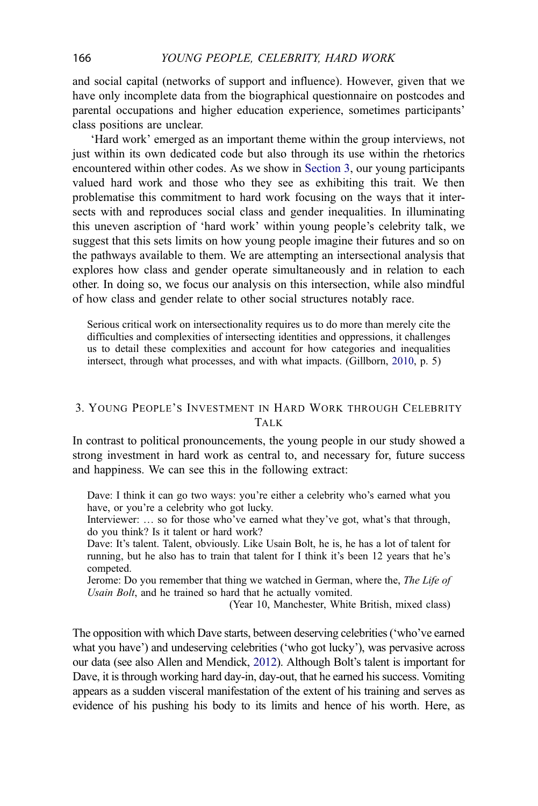<span id="page-6-0"></span>and social capital (networks of support and influence). However, given that we have only incomplete data from the biographical questionnaire on postcodes and parental occupations and higher education experience, sometimes participants' class positions are unclear.

'Hard work' emerged as an important theme within the group interviews, not just within its own dedicated code but also through its use within the rhetorics encountered within other codes. As we show in Section 3, our young participants valued hard work and those who they see as exhibiting this trait. We then problematise this commitment to hard work focusing on the ways that it intersects with and reproduces social class and gender inequalities. In illuminating this uneven ascription of 'hard work' within young people's celebrity talk, we suggest that this sets limits on how young people imagine their futures and so on the pathways available to them. We are attempting an intersectional analysis that explores how class and gender operate simultaneously and in relation to each other. In doing so, we focus our analysis on this intersection, while also mindful of how class and gender relate to other social structures notably race.

Serious critical work on intersectionality requires us to do more than merely cite the difficulties and complexities of intersecting identities and oppressions, it challenges us to detail these complexities and account for how categories and inequalities intersect, through what processes, and with what impacts. (Gillborn, [2010](#page-16-0), p. 5)

# 3. YOUNG PEOPLE'S INVESTMENT IN HARD WORK THROUGH CELEBRITY **TALK**

In contrast to political pronouncements, the young people in our study showed a strong investment in hard work as central to, and necessary for, future success and happiness. We can see this in the following extract:

Dave: I think it can go two ways: you're either a celebrity who's earned what you have, or you're a celebrity who got lucky.

Interviewer: ... so for those who've earned what they've got, what's that through, do you think? Is it talent or hard work?

Dave: It's talent. Talent, obviously. Like Usain Bolt, he is, he has a lot of talent for running, but he also has to train that talent for I think it's been 12 years that he's competed.

Jerome: Do you remember that thing we watched in German, where the, The Life of Usain Bolt, and he trained so hard that he actually vomited.

(Year 10, Manchester, White British, mixed class)

The opposition with which Dave starts, between deserving celebrities ('who've earned what you have') and undeserving celebrities ('who got lucky'), was pervasive across our data (see also Allen and Mendick, [2012\)](#page-16-0). Although Bolt's talent is important for Dave, it is through working hard day-in, day-out, that he earned his success. Vomiting appears as a sudden visceral manifestation of the extent of his training and serves as evidence of his pushing his body to its limits and hence of his worth. Here, as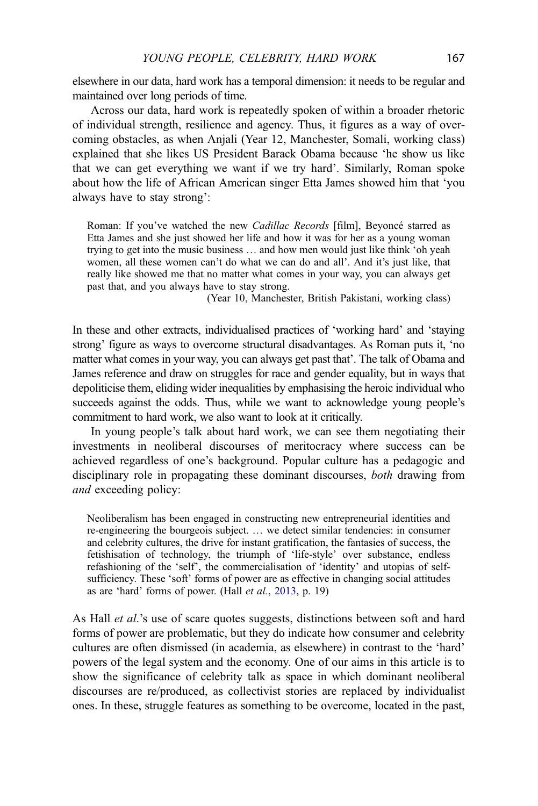elsewhere in our data, hard work has a temporal dimension: it needs to be regular and maintained over long periods of time.

Across our data, hard work is repeatedly spoken of within a broader rhetoric of individual strength, resilience and agency. Thus, it figures as a way of overcoming obstacles, as when Anjali (Year 12, Manchester, Somali, working class) explained that she likes US President Barack Obama because 'he show us like that we can get everything we want if we try hard'. Similarly, Roman spoke about how the life of African American singer Etta James showed him that 'you always have to stay strong':

Roman: If you've watched the new Cadillac Records [film], Beyoncé starred as Etta James and she just showed her life and how it was for her as a young woman trying to get into the music business … and how men would just like think 'oh yeah women, all these women can't do what we can do and all'. And it's just like, that really like showed me that no matter what comes in your way, you can always get past that, and you always have to stay strong.

(Year 10, Manchester, British Pakistani, working class)

In these and other extracts, individualised practices of 'working hard' and 'staying strong' figure as ways to overcome structural disadvantages. As Roman puts it, 'no matter what comes in your way, you can always get past that'. The talk of Obama and James reference and draw on struggles for race and gender equality, but in ways that depoliticise them, eliding wider inequalities by emphasising the heroic individual who succeeds against the odds. Thus, while we want to acknowledge young people's commitment to hard work, we also want to look at it critically.

In young people's talk about hard work, we can see them negotiating their investments in neoliberal discourses of meritocracy where success can be achieved regardless of one's background. Popular culture has a pedagogic and disciplinary role in propagating these dominant discourses, both drawing from and exceeding policy:

Neoliberalism has been engaged in constructing new entrepreneurial identities and re-engineering the bourgeois subject. … we detect similar tendencies: in consumer and celebrity cultures, the drive for instant gratification, the fantasies of success, the fetishisation of technology, the triumph of 'life-style' over substance, endless refashioning of the 'self', the commercialisation of 'identity' and utopias of selfsufficiency. These 'soft' forms of power are as effective in changing social attitudes as are 'hard' forms of power. (Hall et al., [2013,](#page-16-0) p. 19)

As Hall *et al.*'s use of scare quotes suggests, distinctions between soft and hard forms of power are problematic, but they do indicate how consumer and celebrity cultures are often dismissed (in academia, as elsewhere) in contrast to the 'hard' powers of the legal system and the economy. One of our aims in this article is to show the significance of celebrity talk as space in which dominant neoliberal discourses are re/produced, as collectivist stories are replaced by individualist ones. In these, struggle features as something to be overcome, located in the past,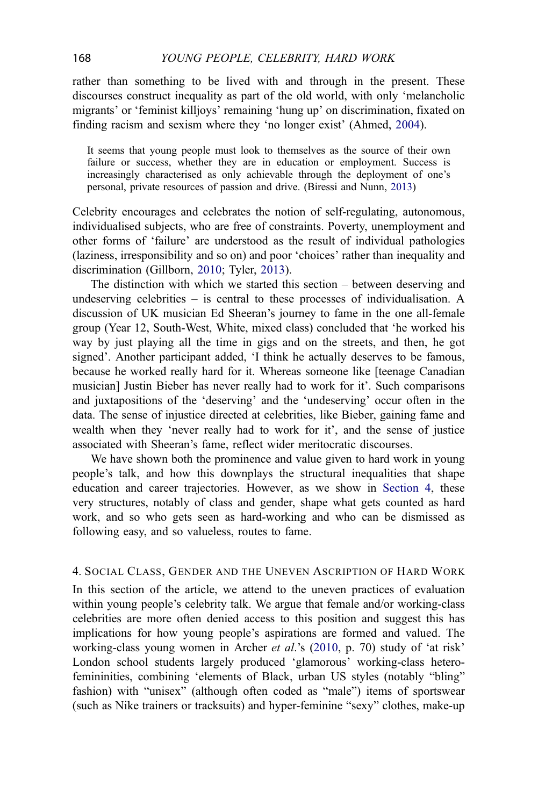rather than something to be lived with and through in the present. These discourses construct inequality as part of the old world, with only 'melancholic migrants' or 'feminist killjoys' remaining 'hung up' on discrimination, fixated on finding racism and sexism where they 'no longer exist' (Ahmed, [2004\)](#page-16-0).

It seems that young people must look to themselves as the source of their own failure or success, whether they are in education or employment. Success is increasingly characterised as only achievable through the deployment of one's personal, private resources of passion and drive. (Biressi and Nunn, [2013](#page-16-0))

Celebrity encourages and celebrates the notion of self-regulating, autonomous, individualised subjects, who are free of constraints. Poverty, unemployment and other forms of 'failure' are understood as the result of individual pathologies (laziness, irresponsibility and so on) and poor 'choices' rather than inequality and discrimination (Gillborn, [2010](#page-16-0); Tyler, [2013\)](#page-17-0).

The distinction with which we started this section – between deserving and undeserving celebrities – is central to these processes of individualisation. A discussion of UK musician Ed Sheeran's journey to fame in the one all-female group (Year 12, South-West, White, mixed class) concluded that 'he worked his way by just playing all the time in gigs and on the streets, and then, he got signed'. Another participant added, 'I think he actually deserves to be famous, because he worked really hard for it. Whereas someone like [teenage Canadian musician] Justin Bieber has never really had to work for it'. Such comparisons and juxtapositions of the 'deserving' and the 'undeserving' occur often in the data. The sense of injustice directed at celebrities, like Bieber, gaining fame and wealth when they 'never really had to work for it', and the sense of justice associated with Sheeran's fame, reflect wider meritocratic discourses.

We have shown both the prominence and value given to hard work in young people's talk, and how this downplays the structural inequalities that shape education and career trajectories. However, as we show in Section 4, these very structures, notably of class and gender, shape what gets counted as hard work, and so who gets seen as hard-working and who can be dismissed as following easy, and so valueless, routes to fame.

#### 4. SOCIAL CLASS, GENDER AND THE UNEVEN ASCRIPTION OF HARD WORK

In this section of the article, we attend to the uneven practices of evaluation within young people's celebrity talk. We argue that female and/or working-class celebrities are more often denied access to this position and suggest this has implications for how young people's aspirations are formed and valued. The working-class young women in Archer et al.'s [\(2010](#page-16-0), p. 70) study of 'at risk' London school students largely produced 'glamorous' working-class heterofemininities, combining 'elements of Black, urban US styles (notably "bling" fashion) with "unisex" (although often coded as "male") items of sportswear (such as Nike trainers or tracksuits) and hyper-feminine "sexy" clothes, make-up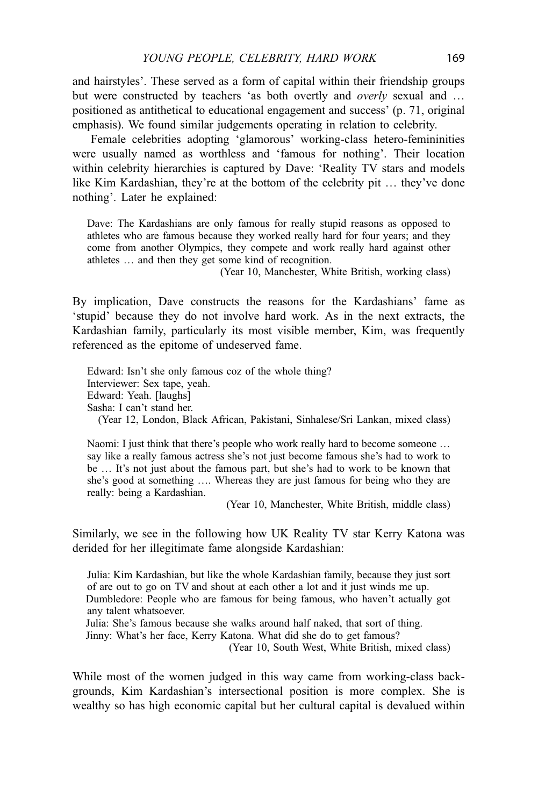and hairstyles'. These served as a form of capital within their friendship groups but were constructed by teachers 'as both overtly and *overly* sexual and ... positioned as antithetical to educational engagement and success' (p. 71, original emphasis). We found similar judgements operating in relation to celebrity.

Female celebrities adopting 'glamorous' working-class hetero-femininities were usually named as worthless and 'famous for nothing'. Their location within celebrity hierarchies is captured by Dave: 'Reality TV stars and models like Kim Kardashian, they're at the bottom of the celebrity pit … they've done nothing'. Later he explained:

Dave: The Kardashians are only famous for really stupid reasons as opposed to athletes who are famous because they worked really hard for four years; and they come from another Olympics, they compete and work really hard against other athletes … and then they get some kind of recognition.

(Year 10, Manchester, White British, working class)

By implication, Dave constructs the reasons for the Kardashians' fame as 'stupid' because they do not involve hard work. As in the next extracts, the Kardashian family, particularly its most visible member, Kim, was frequently referenced as the epitome of undeserved fame.

Edward: Isn't she only famous coz of the whole thing? Interviewer: Sex tape, yeah. Edward: Yeah. [laughs] Sasha: I can't stand her. (Year 12, London, Black African, Pakistani, Sinhalese/Sri Lankan, mixed class)

Naomi: I just think that there's people who work really hard to become someone ... say like a really famous actress she's not just become famous she's had to work to be … It's not just about the famous part, but she's had to work to be known that she's good at something …. Whereas they are just famous for being who they are really: being a Kardashian.

(Year 10, Manchester, White British, middle class)

Similarly, we see in the following how UK Reality TV star Kerry Katona was derided for her illegitimate fame alongside Kardashian:

Julia: Kim Kardashian, but like the whole Kardashian family, because they just sort of are out to go on TV and shout at each other a lot and it just winds me up. Dumbledore: People who are famous for being famous, who haven't actually got any talent whatsoever.

Julia: She's famous because she walks around half naked, that sort of thing.

Jinny: What's her face, Kerry Katona. What did she do to get famous?

(Year 10, South West, White British, mixed class)

While most of the women judged in this way came from working-class backgrounds, Kim Kardashian's intersectional position is more complex. She is wealthy so has high economic capital but her cultural capital is devalued within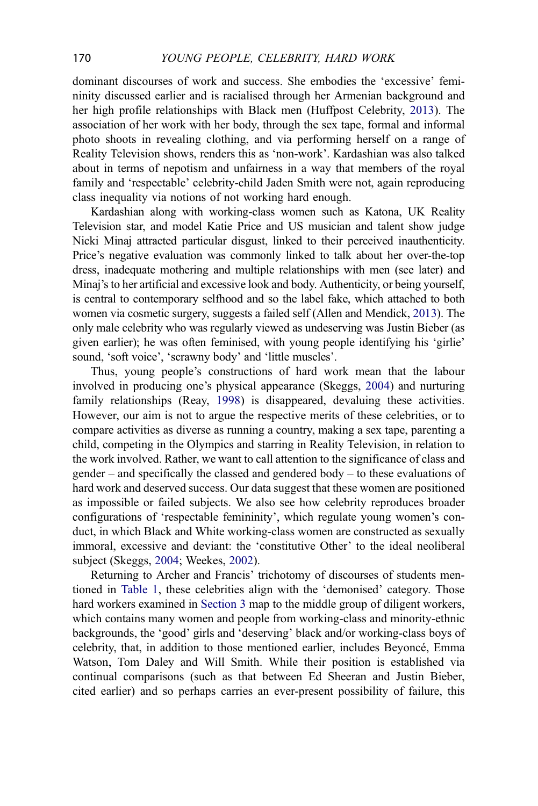dominant discourses of work and success. She embodies the 'excessive' femininity discussed earlier and is racialised through her Armenian background and her high profile relationships with Black men (Huffpost Celebrity, [2013](#page-17-0)). The association of her work with her body, through the sex tape, formal and informal photo shoots in revealing clothing, and via performing herself on a range of Reality Television shows, renders this as 'non-work'. Kardashian was also talked about in terms of nepotism and unfairness in a way that members of the royal family and 'respectable' celebrity-child Jaden Smith were not, again reproducing class inequality via notions of not working hard enough.

Kardashian along with working-class women such as Katona, UK Reality Television star, and model Katie Price and US musician and talent show judge Nicki Minaj attracted particular disgust, linked to their perceived inauthenticity. Price's negative evaluation was commonly linked to talk about her over-the-top dress, inadequate mothering and multiple relationships with men (see later) and Minaj's to her artificial and excessive look and body. Authenticity, or being yourself, is central to contemporary selfhood and so the label fake, which attached to both women via cosmetic surgery, suggests a failed self (Allen and Mendick, [2013](#page-16-0)). The only male celebrity who was regularly viewed as undeserving was Justin Bieber (as given earlier); he was often feminised, with young people identifying his 'girlie' sound, 'soft voice', 'scrawny body' and 'little muscles'.

Thus, young people's constructions of hard work mean that the labour involved in producing one's physical appearance (Skeggs, [2004\)](#page-17-0) and nurturing family relationships (Reay, [1998\)](#page-17-0) is disappeared, devaluing these activities. However, our aim is not to argue the respective merits of these celebrities, or to compare activities as diverse as running a country, making a sex tape, parenting a child, competing in the Olympics and starring in Reality Television, in relation to the work involved. Rather, we want to call attention to the significance of class and gender – and specifically the classed and gendered body – to these evaluations of hard work and deserved success. Our data suggest that these women are positioned as impossible or failed subjects. We also see how celebrity reproduces broader configurations of 'respectable femininity', which regulate young women's conduct, in which Black and White working-class women are constructed as sexually immoral, excessive and deviant: the 'constitutive Other' to the ideal neoliberal subject (Skeggs, [2004](#page-17-0); Weekes, [2002\)](#page-17-0).

Returning to Archer and Francis' trichotomy of discourses of students mentioned in [Table 1](#page-2-0), these celebrities align with the 'demonised' category. Those hard workers examined in [Section 3](#page-6-0) map to the middle group of diligent workers, which contains many women and people from working-class and minority-ethnic backgrounds, the 'good' girls and 'deserving' black and/or working-class boys of celebrity, that, in addition to those mentioned earlier, includes Beyoncé, Emma Watson, Tom Daley and Will Smith. While their position is established via continual comparisons (such as that between Ed Sheeran and Justin Bieber, cited earlier) and so perhaps carries an ever-present possibility of failure, this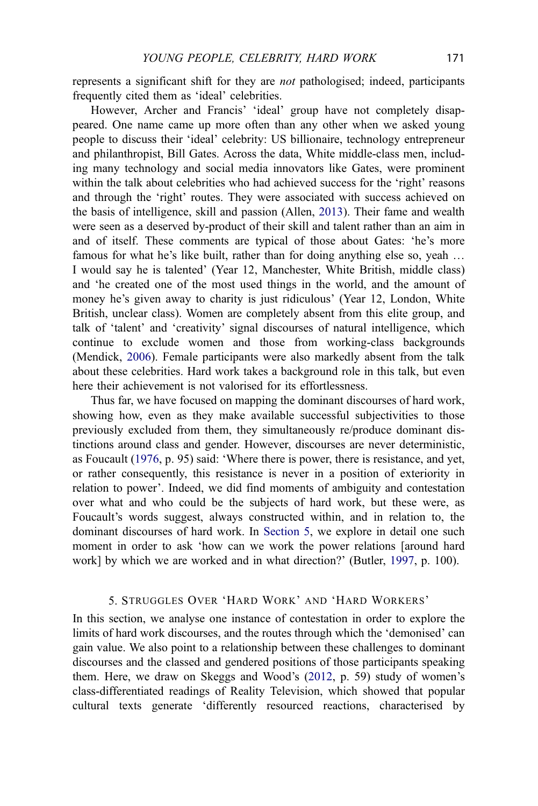represents a significant shift for they are not pathologised; indeed, participants frequently cited them as 'ideal' celebrities.

However, Archer and Francis' 'ideal' group have not completely disappeared. One name came up more often than any other when we asked young people to discuss their 'ideal' celebrity: US billionaire, technology entrepreneur and philanthropist, Bill Gates. Across the data, White middle-class men, including many technology and social media innovators like Gates, were prominent within the talk about celebrities who had achieved success for the 'right' reasons and through the 'right' routes. They were associated with success achieved on the basis of intelligence, skill and passion (Allen, [2013](#page-16-0)). Their fame and wealth were seen as a deserved by-product of their skill and talent rather than an aim in and of itself. These comments are typical of those about Gates: 'he's more famous for what he's like built, rather than for doing anything else so, yeah … I would say he is talented' (Year 12, Manchester, White British, middle class) and 'he created one of the most used things in the world, and the amount of money he's given away to charity is just ridiculous' (Year 12, London, White British, unclear class). Women are completely absent from this elite group, and talk of 'talent' and 'creativity' signal discourses of natural intelligence, which continue to exclude women and those from working-class backgrounds (Mendick, [2006](#page-17-0)). Female participants were also markedly absent from the talk about these celebrities. Hard work takes a background role in this talk, but even here their achievement is not valorised for its effortlessness.

Thus far, we have focused on mapping the dominant discourses of hard work, showing how, even as they make available successful subjectivities to those previously excluded from them, they simultaneously re/produce dominant distinctions around class and gender. However, discourses are never deterministic, as Foucault ([1976,](#page-16-0) p. 95) said: 'Where there is power, there is resistance, and yet, or rather consequently, this resistance is never in a position of exteriority in relation to power'. Indeed, we did find moments of ambiguity and contestation over what and who could be the subjects of hard work, but these were, as Foucault's words suggest, always constructed within, and in relation to, the dominant discourses of hard work. In Section 5, we explore in detail one such moment in order to ask 'how can we work the power relations [around hard work] by which we are worked and in what direction?' (Butler, [1997,](#page-16-0) p. 100).

#### 5. STRUGGLES OVER 'HARD WORK' AND 'HARD WORKERS'

In this section, we analyse one instance of contestation in order to explore the limits of hard work discourses, and the routes through which the 'demonised' can gain value. We also point to a relationship between these challenges to dominant discourses and the classed and gendered positions of those participants speaking them. Here, we draw on Skeggs and Wood's ([2012,](#page-17-0) p. 59) study of women's class-differentiated readings of Reality Television, which showed that popular cultural texts generate 'differently resourced reactions, characterised by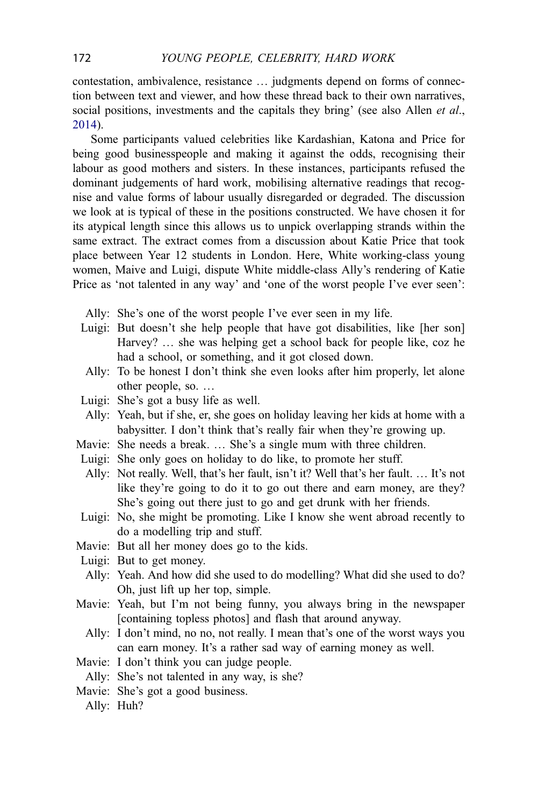contestation, ambivalence, resistance … judgments depend on forms of connection between text and viewer, and how these thread back to their own narratives, social positions, investments and the capitals they bring' (see also Allen *et al.*, [2014\)](#page-16-0).

Some participants valued celebrities like Kardashian, Katona and Price for being good businesspeople and making it against the odds, recognising their labour as good mothers and sisters. In these instances, participants refused the dominant judgements of hard work, mobilising alternative readings that recognise and value forms of labour usually disregarded or degraded. The discussion we look at is typical of these in the positions constructed. We have chosen it for its atypical length since this allows us to unpick overlapping strands within the same extract. The extract comes from a discussion about Katie Price that took place between Year 12 students in London. Here, White working-class young women, Maive and Luigi, dispute White middle-class Ally's rendering of Katie Price as 'not talented in any way' and 'one of the worst people I've ever seen':

- Ally: She's one of the worst people I've ever seen in my life.
- Luigi: But doesn't she help people that have got disabilities, like [her son] Harvey? … she was helping get a school back for people like, coz he had a school, or something, and it got closed down.
- Ally: To be honest I don't think she even looks after him properly, let alone other people, so. …
- Luigi: She's got a busy life as well.
- Ally: Yeah, but if she, er, she goes on holiday leaving her kids at home with a babysitter. I don't think that's really fair when they're growing up.
- Mavie: She needs a break. … She's a single mum with three children.
- Luigi: She only goes on holiday to do like, to promote her stuff.
- Ally: Not really. Well, that's her fault, isn't it? Well that's her fault. … It's not like they're going to do it to go out there and earn money, are they? She's going out there just to go and get drunk with her friends.
- Luigi: No, she might be promoting. Like I know she went abroad recently to do a modelling trip and stuff.
- Mavie: But all her money does go to the kids.
- Luigi: But to get money.
- Ally: Yeah. And how did she used to do modelling? What did she used to do? Oh, just lift up her top, simple.
- Mavie: Yeah, but I'm not being funny, you always bring in the newspaper [containing topless photos] and flash that around anyway.
	- Ally: I don't mind, no no, not really. I mean that's one of the worst ways you can earn money. It's a rather sad way of earning money as well.
- Mavie: I don't think you can judge people.
- Ally: She's not talented in any way, is she?
- Mavie: She's got a good business.
	- Ally: Huh?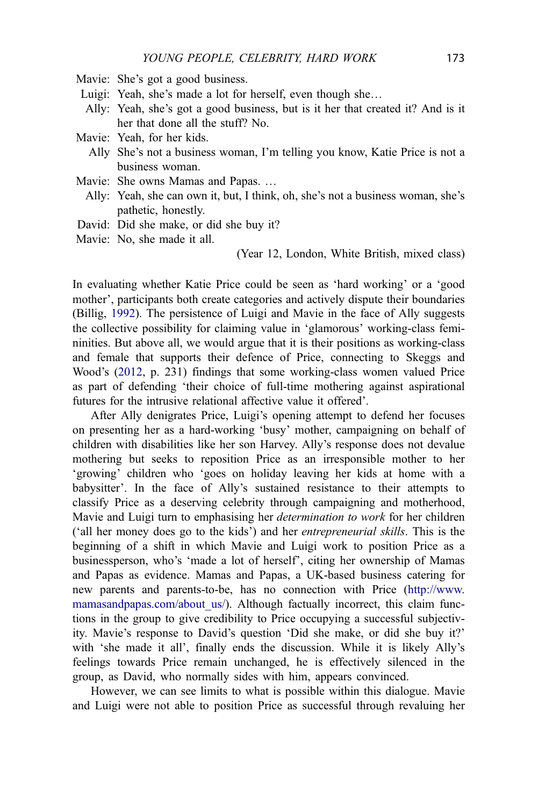- Mavie: She's got a good business.
- Luigi: Yeah, she's made a lot for herself, even though she…
- Ally: Yeah, she's got a good business, but is it her that created it? And is it her that done all the stuff? No.
- Mavie: Yeah, for her kids.
	- Ally She's not a business woman, I'm telling you know, Katie Price is not a business woman.
- Mavie: She owns Mamas and Papas. …
- Ally: Yeah, she can own it, but, I think, oh, she's not a business woman, she's pathetic, honestly.
- David: Did she make, or did she buy it?

Mavie: No, she made it all.

(Year 12, London, White British, mixed class)

In evaluating whether Katie Price could be seen as 'hard working' or a 'good mother', participants both create categories and actively dispute their boundaries (Billig, [1992](#page-16-0)). The persistence of Luigi and Mavie in the face of Ally suggests the collective possibility for claiming value in 'glamorous' working-class femininities. But above all, we would argue that it is their positions as working-class and female that supports their defence of Price, connecting to Skeggs and Wood's [\(2012](#page-17-0), p. 231) findings that some working-class women valued Price as part of defending 'their choice of full-time mothering against aspirational futures for the intrusive relational affective value it offered'.

After Ally denigrates Price, Luigi's opening attempt to defend her focuses on presenting her as a hard-working 'busy' mother, campaigning on behalf of children with disabilities like her son Harvey. Ally's response does not devalue mothering but seeks to reposition Price as an irresponsible mother to her 'growing' children who 'goes on holiday leaving her kids at home with a babysitter'. In the face of Ally's sustained resistance to their attempts to classify Price as a deserving celebrity through campaigning and motherhood, Mavie and Luigi turn to emphasising her *determination to work* for her children ('all her money does go to the kids') and her entrepreneurial skills. This is the beginning of a shift in which Mavie and Luigi work to position Price as a businessperson, who's 'made a lot of herself', citing her ownership of Mamas and Papas as evidence. Mamas and Papas, a UK-based business catering for new parents and parents-to-be, has no connection with Price ([http://www.](http://www.mamasandpapas.com/about_us/) [mamasandpapas.com/about\\_us/](http://www.mamasandpapas.com/about_us/)). Although factually incorrect, this claim functions in the group to give credibility to Price occupying a successful subjectivity. Mavie's response to David's question 'Did she make, or did she buy it?' with 'she made it all', finally ends the discussion. While it is likely Ally's feelings towards Price remain unchanged, he is effectively silenced in the group, as David, who normally sides with him, appears convinced.

However, we can see limits to what is possible within this dialogue. Mavie and Luigi were not able to position Price as successful through revaluing her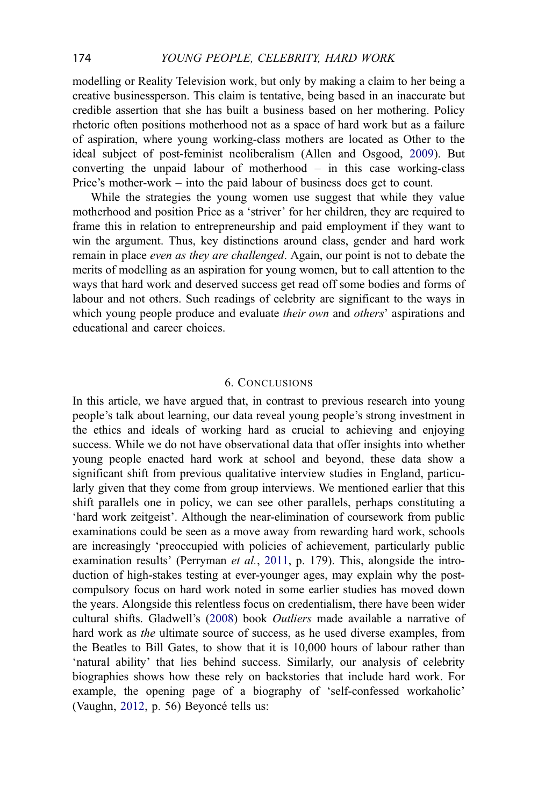modelling or Reality Television work, but only by making a claim to her being a creative businessperson. This claim is tentative, being based in an inaccurate but credible assertion that she has built a business based on her mothering. Policy rhetoric often positions motherhood not as a space of hard work but as a failure of aspiration, where young working-class mothers are located as Other to the ideal subject of post-feminist neoliberalism (Allen and Osgood, [2009\)](#page-16-0). But converting the unpaid labour of motherhood – in this case working-class Price's mother-work – into the paid labour of business does get to count.

While the strategies the young women use suggest that while they value motherhood and position Price as a 'striver' for her children, they are required to frame this in relation to entrepreneurship and paid employment if they want to win the argument. Thus, key distinctions around class, gender and hard work remain in place even as they are challenged. Again, our point is not to debate the merits of modelling as an aspiration for young women, but to call attention to the ways that hard work and deserved success get read off some bodies and forms of labour and not others. Such readings of celebrity are significant to the ways in which young people produce and evaluate their own and others' aspirations and educational and career choices.

#### 6. CONCLUSIONS

In this article, we have argued that, in contrast to previous research into young people's talk about learning, our data reveal young people's strong investment in the ethics and ideals of working hard as crucial to achieving and enjoying success. While we do not have observational data that offer insights into whether young people enacted hard work at school and beyond, these data show a significant shift from previous qualitative interview studies in England, particularly given that they come from group interviews. We mentioned earlier that this shift parallels one in policy, we can see other parallels, perhaps constituting a 'hard work zeitgeist'. Although the near-elimination of coursework from public examinations could be seen as a move away from rewarding hard work, schools are increasingly 'preoccupied with policies of achievement, particularly public examination results' (Perryman et al., [2011](#page-17-0), p. 179). This, alongside the introduction of high-stakes testing at ever-younger ages, may explain why the postcompulsory focus on hard work noted in some earlier studies has moved down the years. Alongside this relentless focus on credentialism, there have been wider cultural shifts. Gladwell's [\(2008](#page-16-0)) book Outliers made available a narrative of hard work as the ultimate source of success, as he used diverse examples, from the Beatles to Bill Gates, to show that it is 10,000 hours of labour rather than 'natural ability' that lies behind success. Similarly, our analysis of celebrity biographies shows how these rely on backstories that include hard work. For example, the opening page of a biography of 'self-confessed workaholic' (Vaughn, [2012](#page-17-0), p. 56) Beyoncé tells us: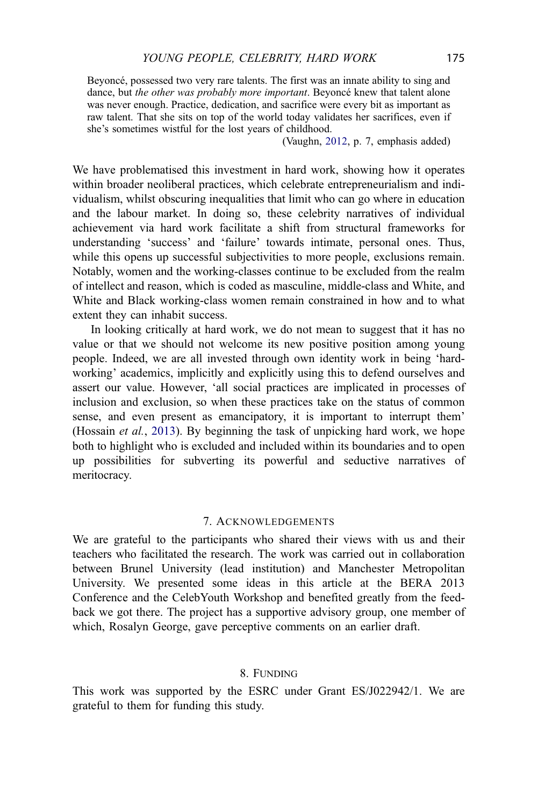Beyoncé, possessed two very rare talents. The first was an innate ability to sing and dance, but the other was probably more important. Beyoncé knew that talent alone was never enough. Practice, dedication, and sacrifice were every bit as important as raw talent. That she sits on top of the world today validates her sacrifices, even if she's sometimes wistful for the lost years of childhood.

(Vaughn, [2012,](#page-17-0) p. 7, emphasis added)

We have problematised this investment in hard work, showing how it operates within broader neoliberal practices, which celebrate entrepreneurialism and individualism, whilst obscuring inequalities that limit who can go where in education and the labour market. In doing so, these celebrity narratives of individual achievement via hard work facilitate a shift from structural frameworks for understanding 'success' and 'failure' towards intimate, personal ones. Thus, while this opens up successful subjectivities to more people, exclusions remain. Notably, women and the working-classes continue to be excluded from the realm of intellect and reason, which is coded as masculine, middle-class and White, and White and Black working-class women remain constrained in how and to what extent they can inhabit success.

In looking critically at hard work, we do not mean to suggest that it has no value or that we should not welcome its new positive position among young people. Indeed, we are all invested through own identity work in being 'hardworking' academics, implicitly and explicitly using this to defend ourselves and assert our value. However, 'all social practices are implicated in processes of inclusion and exclusion, so when these practices take on the status of common sense, and even present as emancipatory, it is important to interrupt them' (Hossain et al., [2013\)](#page-16-0). By beginning the task of unpicking hard work, we hope both to highlight who is excluded and included within its boundaries and to open up possibilities for subverting its powerful and seductive narratives of meritocracy.

# 7. ACKNOWLEDGEMENTS

We are grateful to the participants who shared their views with us and their teachers who facilitated the research. The work was carried out in collaboration between Brunel University (lead institution) and Manchester Metropolitan University. We presented some ideas in this article at the BERA 2013 Conference and the CelebYouth Workshop and benefited greatly from the feedback we got there. The project has a supportive advisory group, one member of which, Rosalyn George, gave perceptive comments on an earlier draft.

# 8. FUNDING

This work was supported by the ESRC under Grant ES/J022942/1. We are grateful to them for funding this study.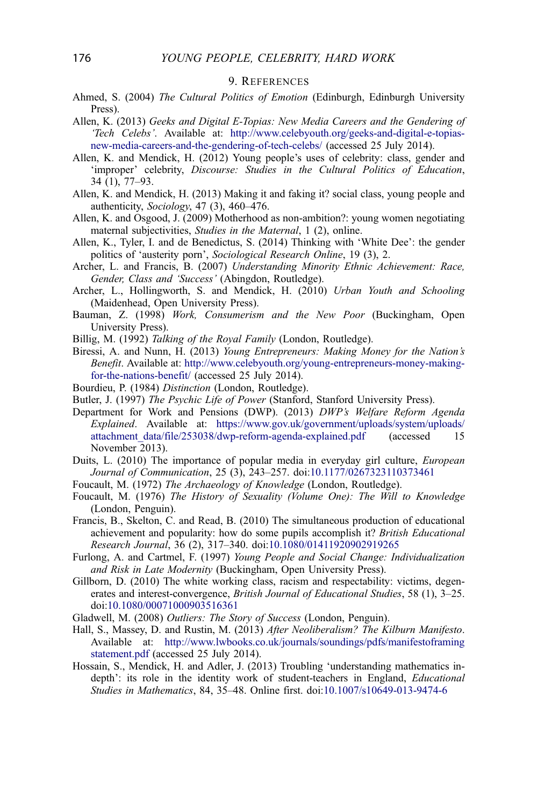#### 9. REFERENCES

- <span id="page-16-0"></span>Ahmed, S. (2004) The Cultural Politics of Emotion (Edinburgh, Edinburgh University Press).
- Allen, K. (2013) Geeks and Digital E-Topias: New Media Careers and the Gendering of 'Tech Celebs'. Available at: [http://www.celebyouth.org/geeks-and-digital-e-topias](http://www.celebyouth.org/geeks-and-digital-e-topias-new-media-careers-and-the-gendering-of-tech-celebs/)[new-media-careers-and-the-gendering-of-tech-celebs/](http://www.celebyouth.org/geeks-and-digital-e-topias-new-media-careers-and-the-gendering-of-tech-celebs/) (accessed 25 July 2014).
- Allen, K. and Mendick, H. (2012) Young people's uses of celebrity: class, gender and 'improper' celebrity, Discourse: Studies in the Cultural Politics of Education, 34 (1), 77–93.
- Allen, K. and Mendick, H. (2013) Making it and faking it? social class, young people and authenticity, Sociology, 47 (3), 460–476.
- Allen, K. and Osgood, J. (2009) Motherhood as non-ambition?: young women negotiating maternal subjectivities, Studies in the Maternal, 1 (2), online.
- Allen, K., Tyler, I. and de Benedictus, S. (2014) Thinking with 'White Dee': the gender politics of 'austerity porn', Sociological Research Online, 19 (3), 2.
- Archer, L. and Francis, B. (2007) Understanding Minority Ethnic Achievement: Race, Gender, Class and 'Success' (Abingdon, Routledge).
- Archer, L., Hollingworth, S. and Mendick, H. (2010) Urban Youth and Schooling (Maidenhead, Open University Press).
- Bauman, Z. (1998) Work, Consumerism and the New Poor (Buckingham, Open University Press).
- Billig, M. (1992) Talking of the Royal Family (London, Routledge).
- Biressi, A. and Nunn, H. (2013) Young Entrepreneurs: Making Money for the Nation's Benefit. Available at: [http://www.celebyouth.org/young-entrepreneurs-money-making](http://www.celebyouth.org/young-entrepreneurs-money-making-for-the-nations-benefit/)[for-the-nations-benefit/](http://www.celebyouth.org/young-entrepreneurs-money-making-for-the-nations-benefit/) (accessed 25 July 2014).
- Bourdieu, P. (1984) Distinction (London, Routledge).
- Butler, J. (1997) The Psychic Life of Power (Stanford, Stanford University Press).
- Department for Work and Pensions (DWP). (2013) DWP's Welfare Reform Agenda Explained. Available at: [https://www.gov.uk/government/uploads/system/uploads/](https://www.gov.uk/government/uploads/system/uploads/attachment_data/file/253038/dwp-reform-agenda-explained.pdf) [attachment\\_data/file/253038/dwp-reform-agenda-explained.pdf](https://www.gov.uk/government/uploads/system/uploads/attachment_data/file/253038/dwp-reform-agenda-explained.pdf) (accessed 15) November 2013).
- Duits, L. (2010) The importance of popular media in everyday girl culture, European Journal of Communication, 25 (3), 243–257. doi:[10.1177/0267323110373461](http://dx.doi.org/10.1177/0267323110373461)
- Foucault, M. (1972) The Archaeology of Knowledge (London, Routledge).
- Foucault, M. (1976) The History of Sexuality (Volume One): The Will to Knowledge (London, Penguin).
- Francis, B., Skelton, C. and Read, B. (2010) The simultaneous production of educational achievement and popularity: how do some pupils accomplish it? British Educational Research Journal, 36 (2), 317–340. doi:[10.1080/01411920902919265](http://dx.doi.org/10.1080/01411920902919265)
- Furlong, A. and Cartmel, F. (1997) Young People and Social Change: Individualization and Risk in Late Modernity (Buckingham, Open University Press).
- Gillborn, D. (2010) The white working class, racism and respectability: victims, degenerates and interest-convergence, British Journal of Educational Studies, 58 (1), 3–25. doi:[10.1080/00071000903516361](http://dx.doi.org/10.1080/00071000903516361)
- Gladwell, M. (2008) Outliers: The Story of Success (London, Penguin).
- Hall, S., Massey, D. and Rustin, M. (2013) After Neoliberalism? The Kilburn Manifesto. Available at: [http://www.lwbooks.co.uk/journals/soundings/pdfs/manifestoframing](http://www.lwbooks.co.uk/journals/soundings/pdfs/manifestoframingstatement.pdf) [statement.pdf](http://www.lwbooks.co.uk/journals/soundings/pdfs/manifestoframingstatement.pdf) (accessed 25 July 2014).
- Hossain, S., Mendick, H. and Adler, J. (2013) Troubling 'understanding mathematics indepth': its role in the identity work of student-teachers in England, Educational Studies in Mathematics, 84, 35–48. Online first. doi:[10.1007/s10649-013-9474-6](http://dx.doi.org/10.1007/s10649-013-9474-6)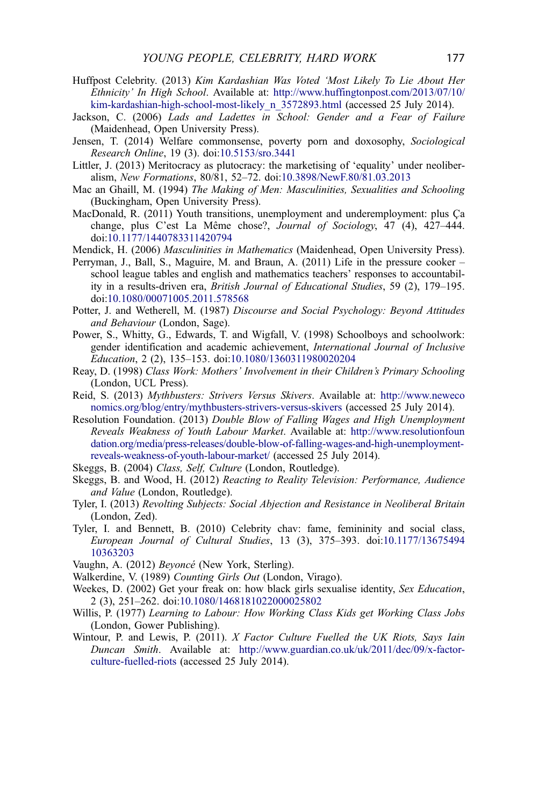- <span id="page-17-0"></span>Huffpost Celebrity. (2013) Kim Kardashian Was Voted 'Most Likely To Lie About Her Ethnicity' In High School. Available at: [http://www.huffingtonpost.com/2013/07/10/](http://www.huffingtonpost.com/2013/07/10/kim-kardashian-high-school-most-likely_n_3572893.html) [kim-kardashian-high-school-most-likely\\_n\\_3572893.html](http://www.huffingtonpost.com/2013/07/10/kim-kardashian-high-school-most-likely_n_3572893.html) (accessed 25 July 2014).
- Jackson, C. (2006) Lads and Ladettes in School: Gender and a Fear of Failure (Maidenhead, Open University Press).
- Jensen, T. (2014) Welfare commonsense, poverty porn and doxosophy, Sociological Research Online, 19 (3). doi:[10.5153/sro.3441](http://dx.doi.org/10.5153/sro.3441)
- Littler, J. (2013) Meritocracy as plutocracy: the marketising of 'equality' under neoliberalism, New Formations, 80/81, 52–72. doi:[10.3898/NewF.80/81.03.2013](http://dx.doi.org/10.3898/NewF.80/81.03.2013)
- Mac an Ghaill, M. (1994) The Making of Men: Masculinities, Sexualities and Schooling (Buckingham, Open University Press).
- MacDonald, R. (2011) Youth transitions, unemployment and underemployment: plus Ça change, plus C'est La Même chose?, Journal of Sociology, 47 (4), 427–444. doi:[10.1177/1440783311420794](http://dx.doi.org/10.1177/1440783311420794)
- Mendick, H. (2006) Masculinities in Mathematics (Maidenhead, Open University Press).
- Perryman, J., Ball, S., Maguire, M. and Braun, A. (2011) Life in the pressure cooker school league tables and english and mathematics teachers' responses to accountability in a results-driven era, British Journal of Educational Studies, 59 (2), 179–195. doi:[10.1080/00071005.2011.578568](http://dx.doi.org/10.1080/00071005.2011.578568)
- Potter, J. and Wetherell, M. (1987) Discourse and Social Psychology: Beyond Attitudes and Behaviour (London, Sage).
- Power, S., Whitty, G., Edwards, T. and Wigfall, V. (1998) Schoolboys and schoolwork: gender identification and academic achievement, International Journal of Inclusive Education, 2 (2), 135–153. doi:[10.1080/1360311980020204](http://dx.doi.org/10.1080/1360311980020204)
- Reay, D. (1998) Class Work: Mothers' Involvement in their Children's Primary Schooling (London, UCL Press).
- Reid, S. (2013) Mythbusters: Strivers Versus Skivers. Available at: [http://www.neweco](http://www.neweconomics.org/blog/entry/mythbusters-strivers-versus-skivers) [nomics.org/blog/entry/mythbusters-strivers-versus-skivers](http://www.neweconomics.org/blog/entry/mythbusters-strivers-versus-skivers) (accessed 25 July 2014).
- Resolution Foundation. (2013) Double Blow of Falling Wages and High Unemployment Reveals Weakness of Youth Labour Market. Available at: [http://www.resolutionfoun](http://www.resolutionfoundation.org/media/press-releases/double-blow-of-falling-wages-and-high-unemployment-reveals-weakness-of-youth-labour-market/) [dation.org/media/press-releases/double-blow-of-falling-wages-and-high-unemployment](http://www.resolutionfoundation.org/media/press-releases/double-blow-of-falling-wages-and-high-unemployment-reveals-weakness-of-youth-labour-market/)[reveals-weakness-of-youth-labour-market/](http://www.resolutionfoundation.org/media/press-releases/double-blow-of-falling-wages-and-high-unemployment-reveals-weakness-of-youth-labour-market/) (accessed 25 July 2014).
- Skeggs, B. (2004) Class, Self, Culture (London, Routledge).
- Skeggs, B. and Wood, H. (2012) Reacting to Reality Television: Performance, Audience and Value (London, Routledge).
- Tyler, I. (2013) Revolting Subjects: Social Abjection and Resistance in Neoliberal Britain (London, Zed).
- Tyler, I. and Bennett, B. (2010) Celebrity chav: fame, femininity and social class, European Journal of Cultural Studies, 13 (3), 375–393. doi:[10.1177/13675494](http://dx.doi.org/10.1177/1367549410363203) [10363203](http://dx.doi.org/10.1177/1367549410363203)
- Vaughn, A. (2012) Beyoncé (New York, Sterling).
- Walkerdine, V. (1989) Counting Girls Out (London, Virago).
- Weekes, D. (2002) Get your freak on: how black girls sexualise identity, Sex Education, 2 (3), 251–262. doi:[10.1080/1468181022000025802](http://dx.doi.org/10.1080/1468181022000025802)
- Willis, P. (1977) Learning to Labour: How Working Class Kids get Working Class Jobs (London, Gower Publishing).
- Wintour, P. and Lewis, P. (2011). X Factor Culture Fuelled the UK Riots, Says Iain Duncan Smith. Available at: [http://www.guardian.co.uk/uk/2011/dec/09/x-factor](http://www.guardian.co.uk/uk/2011/dec/09/x-factor-culture-fuelled-riots)[culture-fuelled-riots](http://www.guardian.co.uk/uk/2011/dec/09/x-factor-culture-fuelled-riots) (accessed 25 July 2014).